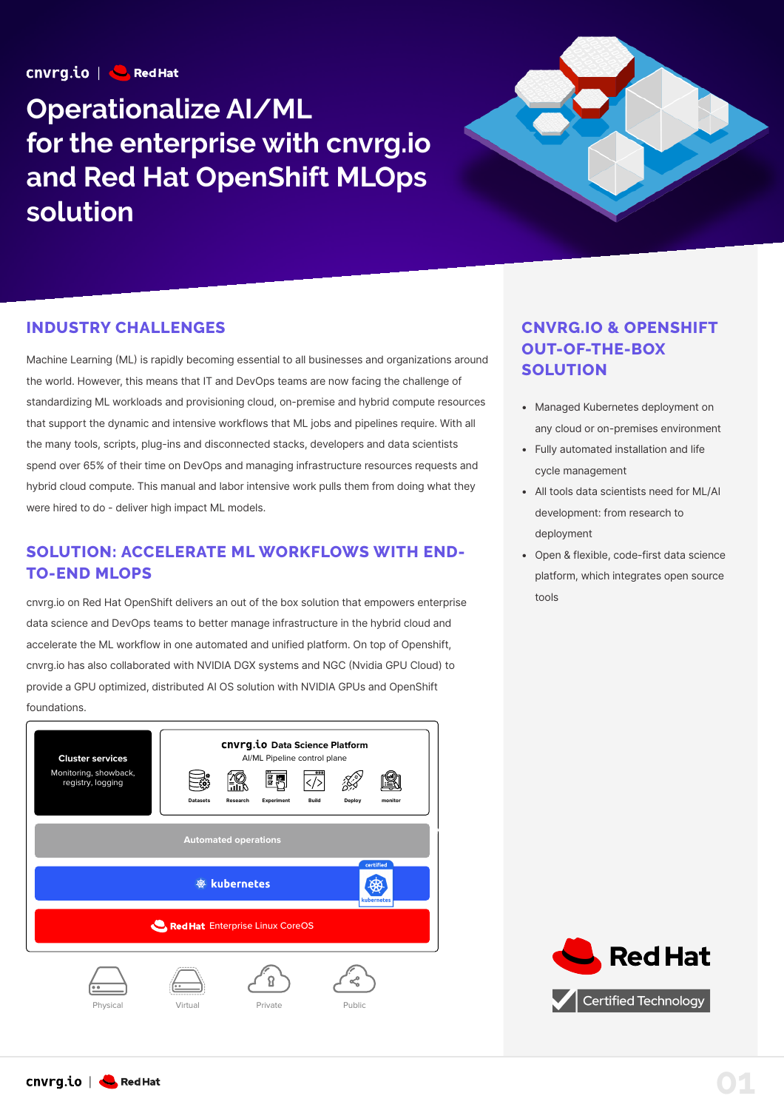$cnvrq.io \n\begin{array}{|c|c|}\n\hline\n\end{array}$  Red Hat

# **Operationalize AI/ML for the enterprise with cnvrg.io and Red Hat OpenShift MLOps solution**



#### **INDUSTRY CHALLENGES**

Machine Learning (ML) is rapidly becoming essential to all businesses and organizations around the world. However, this means that IT and DevOps teams are now facing the challenge of standardizing ML workloads and provisioning cloud, on-premise and hybrid compute resources that support the dynamic and intensive workflows that ML jobs and pipelines require. With all the many tools, scripts, plug-ins and disconnected stacks, developers and data scientists spend over 65% of their time on DevOps and managing infrastructure resources requests and hybrid cloud compute. This manual and labor intensive work pulls them from doing what they were hired to do - deliver high impact ML models.

#### **SOLUTION: ACCELERATE ML WORKFLOWS WITH END-TO-END MLOPS**

cnvrg.io on Red Hat OpenShift delivers an out of the box solution that empowers enterprise data science and DevOps teams to better manage infrastructure in the hybrid cloud and accelerate the ML workflow in one automated and unified platform. On top of Openshift, cnvrg.io has also collaborated with NVIDIA DGX systems and NGC Nvidia GPU Cloud) to provide a GPU optimized, distributed AI OS solution with NVIDIA GPUs and OpenShift foundations.



## **CNVRG.IO & OPENSHIFT OUT-OF-THE-BOX SOLUTION**

- Managed Kubernetes deployment on  any cloud or on-premises environment
- Fully automated installation and life  cycle management
- All tools data scientists need for ML/AI  development: from research to deployment
- Open & flexible, code-first data science platform, which integrates open source tools